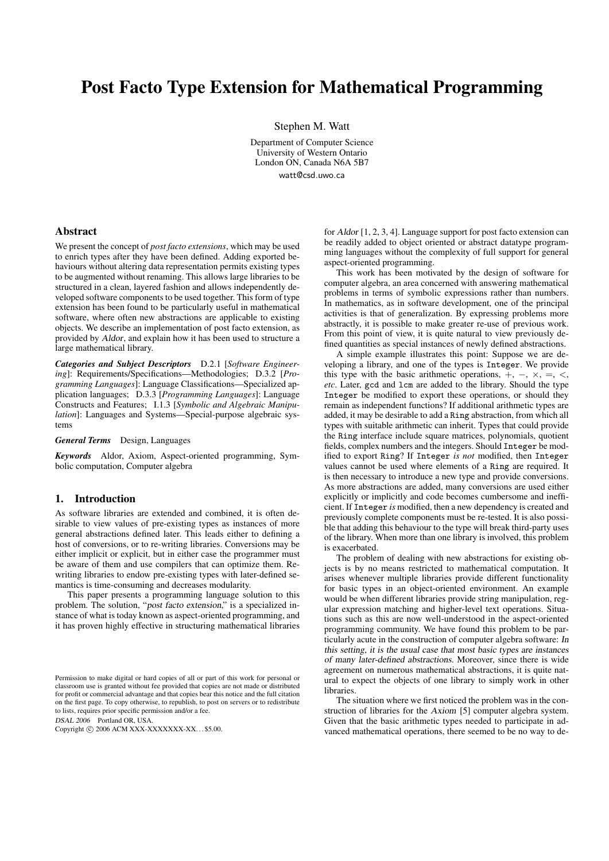# Post Facto Type Extension for Mathematical Programming

Stephen M. Watt

Department of Computer Science University of Western Ontario London ON, Canada N6A 5B7 watt@csd.uwo.ca

#### Abstract

We present the concept of *post facto extensions*, which may be used to enrich types after they have been defined. Adding exported behaviours without altering data representation permits existing types to be augmented without renaming. This allows large libraries to be structured in a clean, layered fashion and allows independently developed software components to be used together. This form of type extension has been found to be particularly useful in mathematical software, where often new abstractions are applicable to existing objects. We describe an implementation of post facto extension, as provided by Aldor, and explain how it has been used to structure a large mathematical library.

*Categories and Subject Descriptors* D.2.1 [*Software Engineering*]: Requirements/Specifications—Methodologies; D.3.2 [*Programming Languages*]: Language Classifications—Specialized application languages; D.3.3 [*Programming Languages*]: Language Constructs and Features; I.1.3 [*Symbolic and Algebraic Manipulation*]: Languages and Systems—Special-purpose algebraic systems

*General Terms* Design, Languages

*Keywords* Aldor, Axiom, Aspect-oriented programming, Symbolic computation, Computer algebra

#### 1. Introduction

As software libraries are extended and combined, it is often desirable to view values of pre-existing types as instances of more general abstractions defined later. This leads either to defining a host of conversions, or to re-writing libraries. Conversions may be either implicit or explicit, but in either case the programmer must be aware of them and use compilers that can optimize them. Rewriting libraries to endow pre-existing types with later-defined semantics is time-consuming and decreases modularity.

This paper presents a programming language solution to this problem. The solution, "post facto extension," is a specialized instance of what is today known as aspect-oriented programming, and it has proven highly effective in structuring mathematical libraries

DSAL 2006 Portland OR, USA.

Copyright © 2006 ACM XXX-XXXXXXX-XX... \$5.00.

for Aldor [1, 2, 3, 4]. Language support for post facto extension can be readily added to object oriented or abstract datatype programming languages without the complexity of full support for general aspect-oriented programming.

This work has been motivated by the design of software for computer algebra, an area concerned with answering mathematical problems in terms of symbolic expressions rather than numbers. In mathematics, as in software development, one of the principal activities is that of generalization. By expressing problems more abstractly, it is possible to make greater re-use of previous work. From this point of view, it is quite natural to view previously defined quantities as special instances of newly defined abstractions.

A simple example illustrates this point: Suppose we are developing a library, and one of the types is Integer. We provide this type with the basic arithmetic operations,  $+$ ,  $-$ ,  $\times$ ,  $=$ ,  $\lt$ , *etc*. Later, gcd and lcm are added to the library. Should the type Integer be modified to export these operations, or should they remain as independent functions? If additional arithmetic types are added, it may be desirable to add a Ring abstraction, from which all types with suitable arithmetic can inherit. Types that could provide the Ring interface include square matrices, polynomials, quotient fields, complex numbers and the integers. Should Integer be modified to export Ring? If Integer *is not* modified, then Integer values cannot be used where elements of a Ring are required. It is then necessary to introduce a new type and provide conversions. As more abstractions are added, many conversions are used either explicitly or implicitly and code becomes cumbersome and inefficient. If Integer *is* modified, then a new dependency is created and previously complete components must be re-tested. It is also possible that adding this behaviour to the type will break third-party uses of the library. When more than one library is involved, this problem is exacerbated.

The problem of dealing with new abstractions for existing objects is by no means restricted to mathematical computation. It arises whenever multiple libraries provide different functionality for basic types in an object-oriented environment. An example would be when different libraries provide string manipulation, regular expression matching and higher-level text operations. Situations such as this are now well-understood in the aspect-oriented programming community. We have found this problem to be particularly acute in the construction of computer algebra software: In this setting, it is the usual case that most basic types are instances of many later-defined abstractions. Moreover, since there is wide agreement on numerous mathematical abstractions, it is quite natural to expect the objects of one library to simply work in other libraries.

The situation where we first noticed the problem was in the construction of libraries for the Axiom [5] computer algebra system. Given that the basic arithmetic types needed to participate in advanced mathematical operations, there seemed to be no way to de-

Permission to make digital or hard copies of all or part of this work for personal or classroom use is granted without fee provided that copies are not made or distributed for profit or commercial advantage and that copies bear this notice and the full citation on the first page. To copy otherwise, to republish, to post on servers or to redistribute to lists, requires prior specific permission and/or a fee.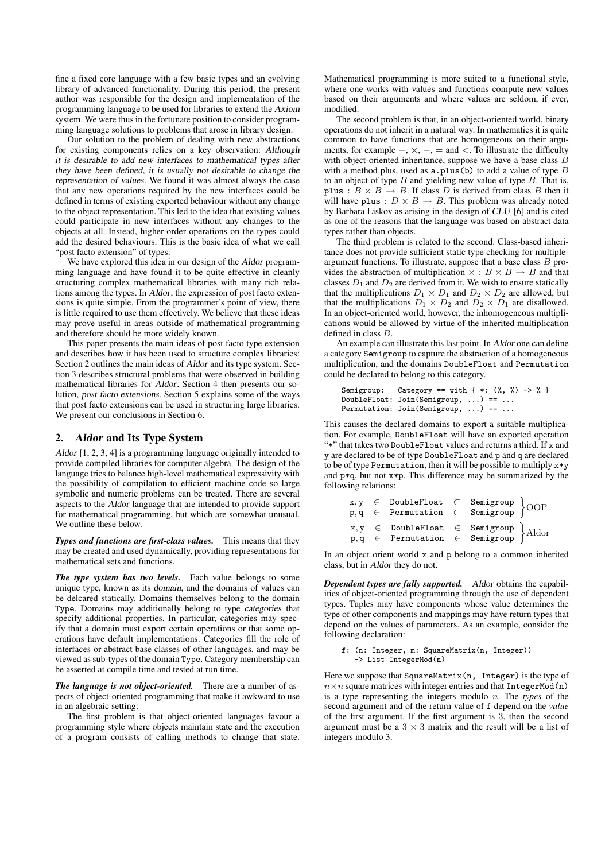fine a fixed core language with a few basic types and an evolving library of advanced functionality. During this period, the present author was responsible for the design and implementation of the programming language to be used for libraries to extend the Axiom system. We were thus in the fortunate position to consider programming language solutions to problems that arose in library design.

Our solution to the problem of dealing with new abstractions for existing components relies on a key observation: Although it is desirable to add new interfaces to mathematical types after they have been defined, it is usually not desirable to change the representation of values. We found it was almost always the case that any new operations required by the new interfaces could be defined in terms of existing exported behaviour without any change to the object representation. This led to the idea that existing values could participate in new interfaces without any changes to the objects at all. Instead, higher-order operations on the types could add the desired behaviours. This is the basic idea of what we call "post facto extension" of types.

We have explored this idea in our design of the Aldor programming language and have found it to be quite effective in cleanly structuring complex mathematical libraries with many rich relations among the types. In Aldor, the expression of post facto extensions is quite simple. From the programmer's point of view, there is little required to use them effectively. We believe that these ideas may prove useful in areas outside of mathematical programming and therefore should be more widely known.

This paper presents the main ideas of post facto type extension and describes how it has been used to structure complex libraries: Section 2 outlines the main ideas of Aldor and its type system. Section 3 describes structural problems that were observed in building mathematical libraries for Aldor. Section 4 then presents our solution, post facto extensions. Section 5 explains some of the ways that post facto extensions can be used in structuring large libraries. We present our conclusions in Section 6.

## 2. Aldor and Its Type System

Aldor [1, 2, 3, 4] is a programming language originally intended to provide compiled libraries for computer algebra. The design of the language tries to balance high-level mathematical expressivity with the possibility of compilation to efficient machine code so large symbolic and numeric problems can be treated. There are several aspects to the Aldor language that are intended to provide support for mathematical programming, but which are somewhat unusual. We outline these below.

*Types and functions are first-class values.* This means that they may be created and used dynamically, providing representations for mathematical sets and functions.

*The type system has two levels.* Each value belongs to some unique type, known as its domain, and the domains of values can be delcared statically. Domains themselves belong to the domain Type. Domains may additionally belong to type categories that specify additional properties. In particular, categories may specify that a domain must export certain operations or that some operations have default implementations. Categories fill the role of interfaces or abstract base classes of other languages, and may be viewed as sub-types of the domain Type. Category membership can be asserted at compile time and tested at run time.

*The language is not object-oriented.* There are a number of aspects of object-oriented programming that make it awkward to use in an algebraic setting:

The first problem is that object-oriented languages favour a programming style where objects maintain state and the execution of a program consists of calling methods to change that state.

Mathematical programming is more suited to a functional style, where one works with values and functions compute new values based on their arguments and where values are seldom, if ever, modified.

The second problem is that, in an object-oriented world, binary operations do not inherit in a natural way. In mathematics it is quite common to have functions that are homogeneous on their arguments, for example  $+$ ,  $\times$ ,  $-$ ,  $=$  and  $<$ . To illustrate the difficulty with object-oriented inheritance, suppose we have a base class B with a method plus, used as  $a.$  plus(b) to add a value of type  $B$ to an object of type  $B$  and yielding new value of type  $B$ . That is, plus :  $B \times B \rightarrow B$ . If class D is derived from class B then it will have plus :  $D \times B \rightarrow B$ . This problem was already noted by Barbara Liskov as arising in the design of CLU [6] and is cited as one of the reasons that the language was based on abstract data types rather than objects.

The third problem is related to the second. Class-based inheritance does not provide sufficient static type checking for multipleargument functions. To illustrate, suppose that a base class  $B$  provides the abstraction of multiplication  $\times : B \times B \rightarrow B$  and that classes  $D_1$  and  $D_2$  are derived from it. We wish to ensure statically that the multiplications  $D_1 \times D_1$  and  $D_2 \times D_2$  are allowed, but that the multiplications  $D_1 \times D_2$  and  $D_2 \times D_1$  are disallowed. In an object-oriented world, however, the inhomogeneous multiplications would be allowed by virtue of the inherited multiplication defined in class B.

An example can illustrate this last point. In Aldor one can define a category Semigroup to capture the abstraction of a homogeneous multiplication, and the domains DoubleFloat and Permutation could be declared to belong to this category.

```
Semigroup: Category == with \{ *: (\%, \%) \rightarrow \% \}DoubleFloat: Join(Semigroup, ...) == ...
Permutation: Join(Semigroup, ...) == ...
```
This causes the declared domains to export a suitable multiplication. For example, DoubleFloat will have an exported operation "\*" that takes two DoubleFloat values and returns a third. If x and y are declared to be of type DoubleFloat and p and q are declared to be of type Permutation, then it will be possible to multiply x\*y and p\*q, but not x\*p. This difference may be summarized by the following relations:

|  | $x, y \in$ DoubleFloat $\subset$ Semigroup $\Big\{ OOP \Big\}$<br>$p, q \in$ Permutation $\subset$ Semigroup $\Big\}$                          |  |  |
|--|------------------------------------------------------------------------------------------------------------------------------------------------|--|--|
|  | $x, y \in$ DoubleFloat $\in$ Semigroup $\left.\begin{array}{rcl} p, q \in \text{Permutation} & \in \text{Semigroup} \end{array}\right\}$ Aldor |  |  |

In an object orient world x and p belong to a common inherited class, but in Aldor they do not.

*Dependent types are fully supported.* Aldor obtains the capabilities of object-oriented programming through the use of dependent types. Tuples may have components whose value determines the type of other components and mappings may have return types that depend on the values of parameters. As an example, consider the following declaration:

```
f: (n: Integer, m: SquareMatrix(n, Integer))
   -> List IntegerMod(n)
```
Here we suppose that SquareMatrix(n, Integer) is the type of  $n \times n$  square matrices with integer entries and that IntegerMod(n) is a type representing the integers modulo n. The *types* of the second argument and of the return value of f depend on the *value* of the first argument. If the first argument is 3, then the second argument must be a  $3 \times 3$  matrix and the result will be a list of integers modulo 3.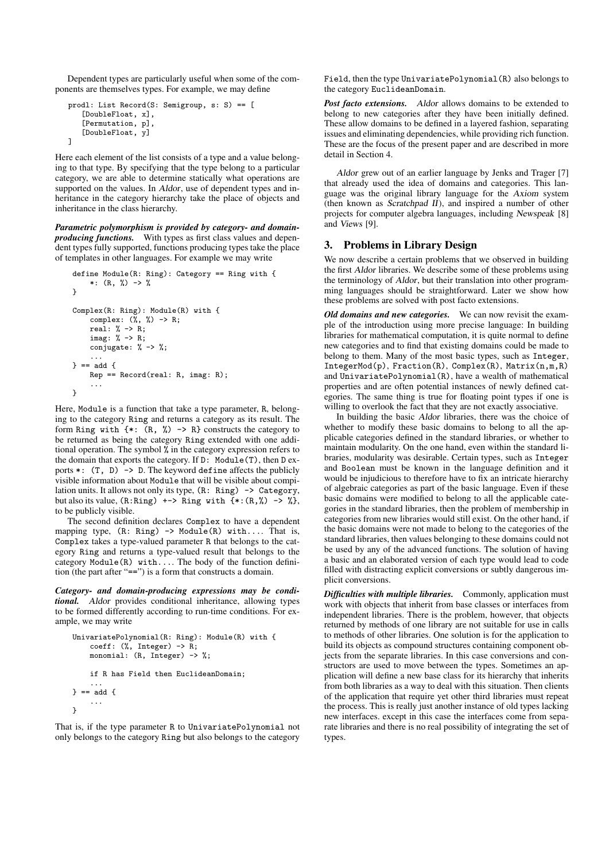Dependent types are particularly useful when some of the components are themselves types. For example, we may define

```
prodl: List Record(S: Semigroup, s: S) == [
   [DoubleFloat, x],
   [Permutation, p],
   [DoubleFloat, y]
]
```
Here each element of the list consists of a type and a value belonging to that type. By specifying that the type belong to a particular category, we are able to determine statically what operations are supported on the values. In Aldor, use of dependent types and inheritance in the category hierarchy take the place of objects and inheritance in the class hierarchy.

*Parametric polymorphism is provided by category- and domainproducing functions.* With types as first class values and dependent types fully supported, functions producing types take the place of templates in other languages. For example we may write

```
define Module(R: Ring): Category == Ring with {
    *: (R, %) -> %
\overline{1}Complex(R: Ring): Module(R) with {
    complex: (\%, \%) \rightarrow R;
    real: % -> R;
    imag: % -> R;
    conjugate: % -> %;
     ...
} == add {
    Rep == Record(real: R, imag: R);
    ...
}
```
Here, Module is a function that take a type parameter, R, belonging to the category Ring and returns a category as its result. The form Ring with  $\{*, (R, %) \rightarrow R\}$  constructs the category to be returned as being the category Ring extended with one additional operation. The symbol % in the category expression refers to the domain that exports the category. If D: Module(T), then D exports  $*$ :  $(T, D)$  -> D. The keyword define affects the publicly visible information about Module that will be visible about compilation units. It allows not only its type, (R: Ring) -> Category, but also its value,  $(R: Ring)$  +-> Ring with  $\{*(R,\%)$  ->  $\%$ , to be publicly visible.

The second definition declares Complex to have a dependent mapping type, (R: Ring) -> Module(R) with.... That is, Complex takes a type-valued parameter R that belongs to the category Ring and returns a type-valued result that belongs to the category Module(R) with.... The body of the function definition (the part after "==") is a form that constructs a domain.

*Category- and domain-producing expressions may be conditional.* Aldor provides conditional inheritance, allowing types to be formed differently according to run-time conditions. For example, we may write

```
UnivariatePolynomial(R: Ring): Module(R) with {
    coeff: (%, Integer) -> R;
    monomial: (R, \text{Integer}) \rightarrow \frac{9}{6};
    if R has Field then EuclideanDomain;
     ...
} == add {
     ...
}
```
That is, if the type parameter R to UnivariatePolynomial not only belongs to the category Ring but also belongs to the category

Field, then the type UnivariatePolynomial(R) also belongs to the category EuclideanDomain.

*Post facto extensions.* Aldor allows domains to be extended to belong to new categories after they have been initially defined. These allow domains to be defined in a layered fashion, separating issues and eliminating dependencies, while providing rich function. These are the focus of the present paper and are described in more detail in Section 4.

Aldor grew out of an earlier language by Jenks and Trager [7] that already used the idea of domains and categories. This language was the original library language for the Axiom system (then known as Scratchpad II), and inspired a number of other projects for computer algebra languages, including Newspeak [8] and Views [9].

## 3. Problems in Library Design

We now describe a certain problems that we observed in building the first Aldor libraries. We describe some of these problems using the terminology of Aldor, but their translation into other programming languages should be straightforward. Later we show how these problems are solved with post facto extensions.

*Old domains and new categories.* We can now revisit the example of the introduction using more precise language: In building libraries for mathematical computation, it is quite normal to define new categories and to find that existing domains could be made to belong to them. Many of the most basic types, such as Integer, IntegerMod(p), Fraction(R), Complex(R), Matrix(n,m,R) and UnivariatePolynomial(R), have a wealth of mathematical properties and are often potential instances of newly defined categories. The same thing is true for floating point types if one is willing to overlook the fact that they are not exactly associative.

In building the basic Aldor libraries, there was the choice of whether to modify these basic domains to belong to all the applicable categories defined in the standard libraries, or whether to maintain modularity. On the one hand, even within the standard libraries, modularity was desirable. Certain types, such as Integer and Boolean must be known in the language definition and it would be injudicious to therefore have to fix an intricate hierarchy of algebraic categories as part of the basic language. Even if these basic domains were modified to belong to all the applicable categories in the standard libraries, then the problem of membership in categories from new libraries would still exist. On the other hand, if the basic domains were not made to belong to the categories of the standard libraries, then values belonging to these domains could not be used by any of the advanced functions. The solution of having a basic and an elaborated version of each type would lead to code filled with distracting explicit conversions or subtly dangerous implicit conversions.

*Difficulties with multiple libraries.* Commonly, application must work with objects that inherit from base classes or interfaces from independent libraries. There is the problem, however, that objects returned by methods of one library are not suitable for use in calls to methods of other libraries. One solution is for the application to build its objects as compound structures containing component objects from the separate libraries. In this case conversions and constructors are used to move between the types. Sometimes an application will define a new base class for its hierarchy that inherits from both libraries as a way to deal with this situation. Then clients of the application that require yet other third libraries must repeat the process. This is really just another instance of old types lacking new interfaces. except in this case the interfaces come from separate libraries and there is no real possibility of integrating the set of types.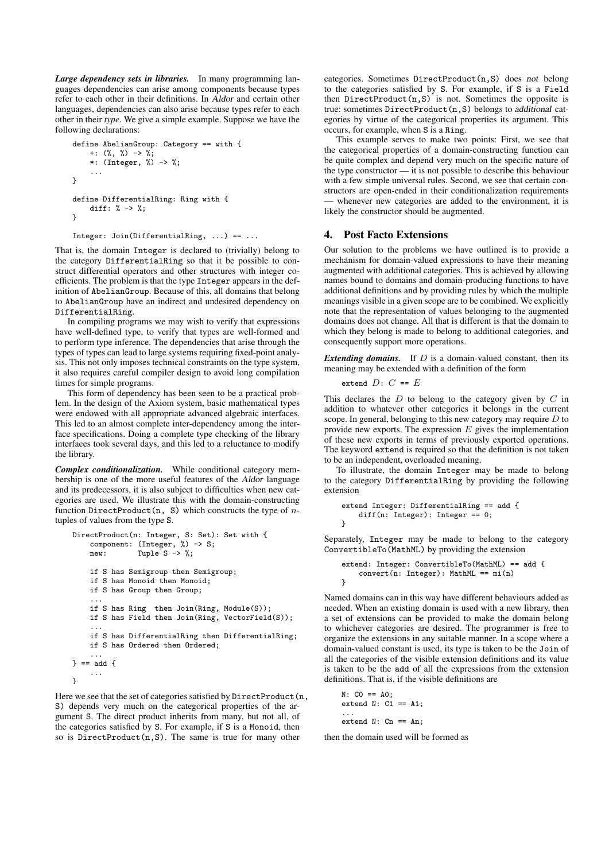*Large dependency sets in libraries.* In many programming languages dependencies can arise among components because types refer to each other in their definitions. In Aldor and certain other languages, dependencies can also arise because types refer to each other in their *type*. We give a simple example. Suppose we have the following declarations:

```
define AbelianGroup: Category == with {
     +: (\%, \%) \rightarrow \frac{1}{6};*: (Integer, \frac{\pi}{2}) -> %;
     ...
}
define DifferentialRing: Ring with {
     diff: % \rightarrow %;
}
Integer: Join(DifferentialRing, ...) == ...
```
That is, the domain Integer is declared to (trivially) belong to the category DifferentialRing so that it be possible to construct differential operators and other structures with integer coefficients. The problem is that the type Integer appears in the definition of AbelianGroup. Because of this, all domains that belong to AbelianGroup have an indirect and undesired dependency on DifferentialRing.

In compiling programs we may wish to verify that expressions have well-defined type, to verify that types are well-formed and to perform type inference. The dependencies that arise through the types of types can lead to large systems requiring fixed-point analysis. This not only imposes technical constraints on the type system, it also requires careful compiler design to avoid long compilation times for simple programs.

This form of dependency has been seen to be a practical problem. In the design of the Axiom system, basic mathematical types were endowed with all appropriate advanced algebraic interfaces. This led to an almost complete inter-dependency among the interface specifications. Doing a complete type checking of the library interfaces took several days, and this led to a reluctance to modify the library.

*Complex conditionalization.* While conditional category membership is one of the more useful features of the Aldor language and its predecessors, it is also subject to difficulties when new categories are used. We illustrate this with the domain-constructing function DirectProduct(n, S) which constructs the type of  $n$ tuples of values from the type S.

```
DirectProduct(n: Integer, S: Set): Set with {
   component: (Integer, %) -> S;
   new: Tuple S -> %;
   if S has Semigroup then Semigroup;
   if S has Monoid then Monoid;
   if S has Group then Group;
    ...
   if S has Ring then Join(Ring, Module(S));
   if S has Field then Join(Ring, VectorField(S));
    ...
   if S has DifferentialRing then DifferentialRing;
   if S has Ordered then Ordered;
    ...
} == add {
   ...
}
```
Here we see that the set of categories satisfied by DirectProduct (n, S) depends very much on the categorical properties of the argument S. The direct product inherits from many, but not all, of the categories satisfied by S. For example, if S is a Monoid, then so is DirectProduct(n,S). The same is true for many other

categories. Sometimes DirectProduct(n,S) does not belong to the categories satisfied by S. For example, if S is a Field then  $DirectProduct(n, S)$  is not. Sometimes the opposite is true: sometimes DirectProduct(n,S) belongs to additional categories by virtue of the categorical properties its argument. This occurs, for example, when S is a Ring.

This example serves to make two points: First, we see that the categorical properties of a domain-constructing function can be quite complex and depend very much on the specific nature of the type constructor — it is not possible to describe this behaviour with a few simple universal rules. Second, we see that certain constructors are open-ended in their conditionalization requirements whenever new categories are added to the environment, it is likely the constructor should be augmented.

## 4. Post Facto Extensions

Our solution to the problems we have outlined is to provide a mechanism for domain-valued expressions to have their meaning augmented with additional categories. This is achieved by allowing names bound to domains and domain-producing functions to have additional definitions and by providing rules by which the multiple meanings visible in a given scope are to be combined. We explicitly note that the representation of values belonging to the augmented domains does not change. All that is different is that the domain to which they belong is made to belong to additional categories, and consequently support more operations.

*Extending domains.* If D is a domain-valued constant, then its meaning may be extended with a definition of the form

```
extend D: C == E
```
This declares the  $D$  to belong to the category given by  $C$  in addition to whatever other categories it belongs in the current scope. In general, belonging to this new category may require  $D$  to provide new exports. The expression  $E$  gives the implementation of these new exports in terms of previously exported operations. The keyword extend is required so that the definition is not taken to be an independent, overloaded meaning.

To illustrate, the domain Integer may be made to belong to the category DifferentialRing by providing the following extension

```
extend Integer: DifferentialRing == add {
   diff(n: Integer): Integer == 0;
}
```
Separately, Integer may be made to belong to the category ConvertibleTo(MathML) by providing the extension

```
extend: Integer: ConvertibleTo(MathML) == add {
    convert(n: Integer): MathML == mi(n)
}
```
Named domains can in this way have different behaviours added as needed. When an existing domain is used with a new library, then a set of extensions can be provided to make the domain belong to whichever categories are desired. The programmer is free to organize the extensions in any suitable manner. In a scope where a domain-valued constant is used, its type is taken to be the Join of all the categories of the visible extension definitions and its value is taken to be the add of all the expressions from the extension definitions. That is, if the visible definitions are

```
N: CO == AO;extend N: C1 == A1;...
extend N: Cn == An;
```
then the domain used will be formed as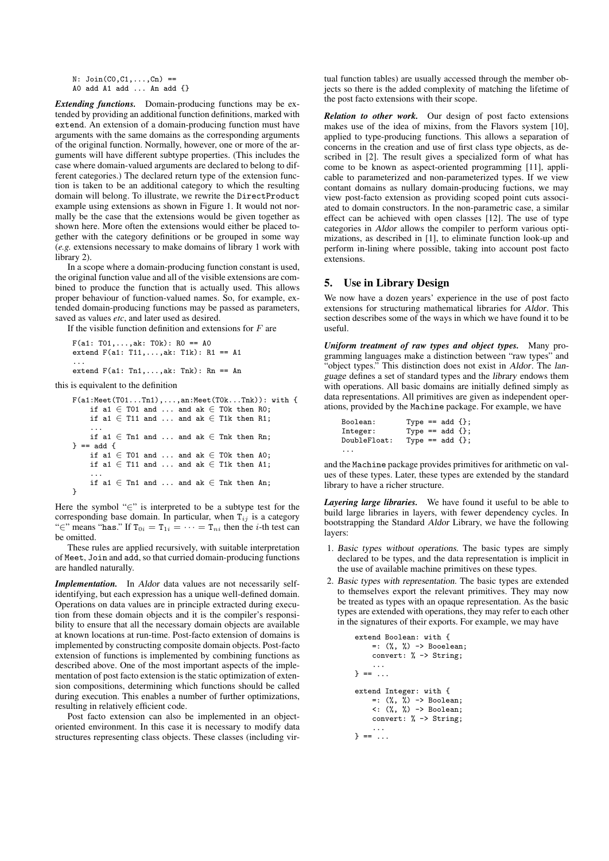$N:$  Join $(C0, C1, ..., Cn)$  ==

A0 add A1 add ... An add {}

*Extending functions.* Domain-producing functions may be extended by providing an additional function definitions, marked with extend. An extension of a domain-producing function must have arguments with the same domains as the corresponding arguments of the original function. Normally, however, one or more of the arguments will have different subtype properties. (This includes the case where domain-valued arguments are declared to belong to different categories.) The declared return type of the extension function is taken to be an additional category to which the resulting domain will belong. To illustrate, we rewrite the DirectProduct example using extensions as shown in Figure 1. It would not normally be the case that the extensions would be given together as shown here. More often the extensions would either be placed together with the category definitions or be grouped in some way (*e.g.* extensions necessary to make domains of library 1 work with library 2).

In a scope where a domain-producing function constant is used, the original function value and all of the visible extensions are combined to produce the function that is actually used. This allows proper behaviour of function-valued names. So, for example, extended domain-producing functions may be passed as parameters, saved as values *etc*, and later used as desired.

If the visible function definition and extensions for  $F$  are

 $F(a1: T01, ..., ak: T0k): R0 == A0$ extend F(a1: T11,...,ak: T1k): R1 == A1 ... extend  $F(a1: Th1,...,ak: Thk): Rn == An$ 

this is equivalent to the definition

```
F(a1:Meet(T01...Tn1),...,an:Meet(T0k...Tnk)): with {
    if a1 \in T01 and ... and ak \in T0k then R0;
    if a1 \in T11 and ... and ak \in T1k then R1;
    ...
if a1 ∈ Tn1 and ... and ak ∈ Tnk then Rn;
} = add \{if a1 \in T01 and ... and ak \in T0k then A0;
    if a1 \in T11 and ... and ak \in T1k then A1;
    ...
    if a1 \in Tn1 and ... and ak \in Tnk then An:
}
```
Here the symbol "∈" is interpreted to be a subtype test for the corresponding base domain. In particular, when  $T_{ij}$  is a category "∈" means "has." If  $T_{0i} = T_{1i} = \cdots = T_{ni}$  then the *i*-th test can be omitted.

These rules are applied recursively, with suitable interpretation of Meet, Join and add, so that curried domain-producing functions are handled naturally.

*Implementation.* In Aldor data values are not necessarily selfidentifying, but each expression has a unique well-defined domain. Operations on data values are in principle extracted during execution from these domain objects and it is the compiler's responsibility to ensure that all the necessary domain objects are available at known locations at run-time. Post-facto extension of domains is implemented by constructing composite domain objects. Post-facto extension of functions is implemented by combining functions as described above. One of the most important aspects of the implementation of post facto extension is the static optimization of extension compositions, determining which functions should be called during execution. This enables a number of further optimizations, resulting in relatively efficient code.

Post facto extension can also be implemented in an objectoriented environment. In this case it is necessary to modify data structures representing class objects. These classes (including vir-

tual function tables) are usually accessed through the member objects so there is the added complexity of matching the lifetime of the post facto extensions with their scope.

*Relation to other work.* Our design of post facto extensions makes use of the idea of mixins, from the Flavors system [10], applied to type-producing functions. This allows a separation of concerns in the creation and use of first class type objects, as described in [2]. The result gives a specialized form of what has come to be known as aspect-oriented programming [11], applicable to parameterized and non-parameterized types. If we view contant domains as nullary domain-producing fuctions, we may view post-facto extension as providing scoped point cuts associated to domain constructors. In the non-parametric case, a similar effect can be achieved with open classes [12]. The use of type categories in Aldor allows the compiler to perform various optimizations, as described in [1], to eliminate function look-up and perform in-lining where possible, taking into account post facto extensions.

#### 5. Use in Library Design

We now have a dozen years' experience in the use of post facto extensions for structuring mathematical libraries for Aldor. This section describes some of the ways in which we have found it to be useful.

*Uniform treatment of raw types and object types.* Many programming languages make a distinction between "raw types" and "object types." This distinction does not exist in Aldor. The language defines a set of standard types and the library endows them with operations. All basic domains are initially defined simply as data representations. All primitives are given as independent operations, provided by the Machine package. For example, we have

| Boolean:     | Type == $add \{ \}$ ; |  |  |
|--------------|-----------------------|--|--|
| Integer:     | Type == $add \{ \}$ ; |  |  |
| DoubleFloat: | Type == $add \{ \}$ ; |  |  |
| .            |                       |  |  |

and the Machine package provides primitives for arithmetic on values of these types. Later, these types are extended by the standard library to have a richer structure.

*Layering large libraries.* We have found it useful to be able to build large libraries in layers, with fewer dependency cycles. In bootstrapping the Standard Aldor Library, we have the following layers:

- 1. Basic types without operations. The basic types are simply declared to be types, and the data representation is implicit in the use of available machine primitives on these types.
- 2. Basic types with representation. The basic types are extended to themselves export the relevant primitives. They may now be treated as types with an opaque representation. As the basic types are extended with operations, they may refer to each other in the signatures of their exports. For example, we may have

```
extend Boolean: with {
     =: (\%, \%) \rightarrow Booelean;
     convert: % -> String;
     ...
} == ...
extend Integer: with {
     =: (\% , \ \%) \rightarrow Boolean;
     \langle \cdot, \cdot \rangle \rightarrow Boolean;
     convert: % -> String;
     ...
} == ...
```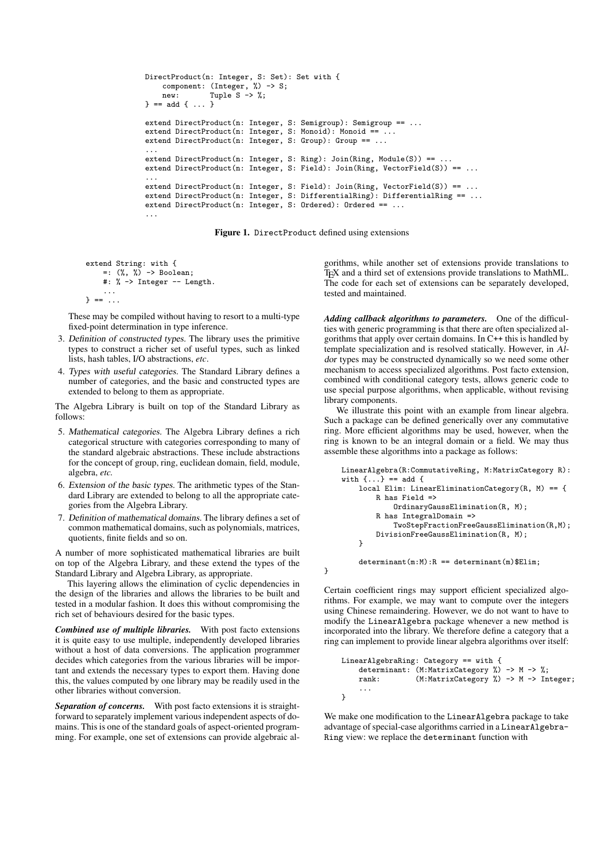```
DirectProduct(n: Integer, S: Set): Set with {
    component: (Integer, \frac{6}{10} -> S;<br>new: Tuple S -> %:
               Tuple S \rightarrow \%;
} = add \{ . . . \}extend DirectProduct(n: Integer, S: Semigroup): Semigroup == ...
extend DirectProduct(n: Integer, S: Monoid): Monoid == \dotsextend DirectProduct(n: Integer, S: Group): Group == ...
...
extend DirectProduct(n: Integer, S: Ring): Join(Ring, Module(S)) == ...
extend DirectProduct(n: Integer, S: Field): Join(Ring, VectorField(S)) == ...
...
extend DirectProduct(n: Integer, S: Field): Join(Ring, VectorField(S)) == ...
extend DirectProduct(n: Integer, S: DifferentialRing): DifferentialRing == ...
extend DirectProduct(n: Integer, S: Ordered): Ordered == ...
...
```
Figure 1. DirectProduct defined using extensions

}

```
extend String: with {
    =: (\%, \%) -> Boolean;
    #: % -> Integer -- Length.
    ...
} == ...
```
These may be compiled without having to resort to a multi-type fixed-point determination in type inference.

- 3. Definition of constructed types. The library uses the primitive types to construct a richer set of useful types, such as linked lists, hash tables, I/O abstractions, *etc*.
- 4. Types with useful categories. The Standard Library defines a number of categories, and the basic and constructed types are extended to belong to them as appropriate.

The Algebra Library is built on top of the Standard Library as follows:

- 5. Mathematical categories. The Algebra Library defines a rich categorical structure with categories corresponding to many of the standard algebraic abstractions. These include abstractions for the concept of group, ring, euclidean domain, field, module, algebra, *etc.*
- 6. Extension of the basic types. The arithmetic types of the Standard Library are extended to belong to all the appropriate categories from the Algebra Library.
- 7. Definition of mathematical domains. The library defines a set of common mathematical domains, such as polynomials, matrices, quotients, finite fields and so on.

A number of more sophisticated mathematical libraries are built on top of the Algebra Library, and these extend the types of the Standard Library and Algebra Library, as appropriate.

This layering allows the elimination of cyclic dependencies in the design of the libraries and allows the libraries to be built and tested in a modular fashion. It does this without compromising the rich set of behaviours desired for the basic types.

*Combined use of multiple libraries.* With post facto extensions it is quite easy to use multiple, independently developed libraries without a host of data conversions. The application programmer decides which categories from the various libraries will be important and extends the necessary types to export them. Having done this, the values computed by one library may be readily used in the other libraries without conversion.

*Separation of concerns.* With post facto extensions it is straightforward to separately implement various independent aspects of domains. This is one of the standard goals of aspect-oriented programming. For example, one set of extensions can provide algebraic algorithms, while another set of extensions provide translations to TEX and a third set of extensions provide translations to MathML. The code for each set of extensions can be separately developed, tested and maintained.

*Adding callback algorithms to parameters.* One of the difficulties with generic programming is that there are often specialized algorithms that apply over certain domains. In C++ this is handled by template specialization and is resolved statically. However, in Aldor types may be constructed dynamically so we need some other mechanism to access specialized algorithms. Post facto extension, combined with conditional category tests, allows generic code to use special purpose algorithms, when applicable, without revising library components.

We illustrate this point with an example from linear algebra. Such a package can be defined generically over any commutative ring. More efficient algorithms may be used, however, when the ring is known to be an integral domain or a field. We may thus assemble these algorithms into a package as follows:

```
LinearAlgebra(R:CommutativeRing, M:MatrixCategory R):
with \{ \ldots \} == add \{local Elim: LinearEliminationCategory(R, M) == {
        R has Field =>
            OrdinaryGaussElimination(R, M);
        R has IntegralDomain =>
            TwoStepFractionFreeGaussElimination(R,M);
        DivisionFreeGaussElimination(R, M);
    }
    determinant(m:M):R == determinant(m)$Elim;
```
Certain coefficient rings may support efficient specialized algorithms. For example, we may want to compute over the integers using Chinese remaindering. However, we do not want to have to modify the LinearAlgebra package whenever a new method is incorporated into the library. We therefore define a category that a

```
LinearAlgebraRing: Category == with {
   determinant: (M:MatrixCategory %) -> M -> %;
   rank: (M:MatrixCategory %) -> M -> Integer;
    ...
}
```
ring can implement to provide linear algebra algorithms over itself:

We make one modification to the LinearAlgebra package to take advantage of special-case algorithms carried in a LinearAlgebra-Ring view: we replace the determinant function with